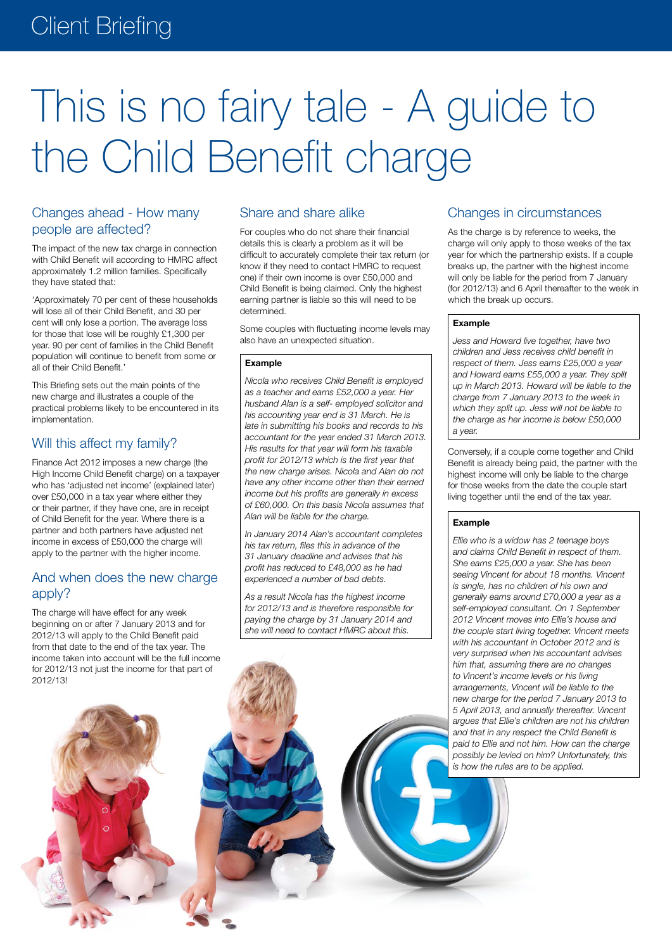# This is no fairy tale - A guide to the Child Benefit charge

## Changes ahead - How many people are affected?

The impact of the new tax charge in connection with Child Benefit will according to HMRC affect approximately 1.2 million families. Specifically they have stated that:

'Approximately 70 per cent of these households will lose all of their Child Benefit, and 30 per cent will only lose a portion. The average loss for those that lose will be roughly £1,300 per year. 90 per cent of families in the Child Benefit population will continue to benefit from some or all of their Child Benefit.'

This Briefing sets out the main points of the new charge and illustrates a couple of the practical problems likely to be encountered in its implementation.

## Will this affect my family?

Finance Act 2012 imposes a new charge (the High Income Child Benefit charge) on a taxpayer who has 'adjusted net income' (explained later) over £50,000 in a tax year where either they or their partner, if they have one, are in receipt of Child Benefit for the year. Where there is a partner and both partners have adjusted net income in excess of £50,000 the charge will apply to the partner with the higher income.

## And when does the new charge apply?

The charge will have effect for any week beginning on or after 7 January 2013 and for 2012/13 will apply to the Child Benefit paid from that date to the end of the tax year. The income taken into account will be the full income for 2012/13 not just the income for that part of 2012/13!

## Share and share alike

For couples who do not share their financial details this is clearly a problem as it will be difficult to accurately complete their tax return (or know if they need to contact HMRC to request one) if their own income is over £50,000 and Child Benefit is being claimed. Only the highest earning partner is liable so this will need to be determined.

Some couples with fluctuating income levels may also have an unexpected situation.

#### **Example**

*Nicola who receives Child Benefit is employed as a teacher and earns £52,000 a year. Her husband Alan is a self- employed solicitor and his accounting year end is 31 March. He is late in submitting his books and records to his accountant for the year ended 31 March 2013. His results for that year will form his taxable profit for 2012/13 which is the first year that the new charge arises. Nicola and Alan do not have any other income other than their earned income but his profits are generally in excess of £60,000. On this basis Nicola assumes that Alan will be liable for the charge.*

*In January 2014 Alan's accountant completes his tax return, files this in advance of the 31 January deadline and advises that his profit has reduced to £48,000 as he had experienced a number of bad debts.*

*As a result Nicola has the highest income for 2012/13 and is therefore responsible for paying the charge by 31 January 2014 and she will need to contact HMRC about this.*

## Changes in circumstances

As the charge is by reference to weeks, the charge will only apply to those weeks of the tax year for which the partnership exists. If a couple breaks up, the partner with the highest income will only be liable for the period from 7 January (for 2012/13) and 6 April thereafter to the week in which the break up occurs.

#### **Example**

*Jess and Howard live together, have two children and Jess receives child benefit in respect of them. Jess earns £25,000 a year and Howard earns £55,000 a year. They split up in March 2013. Howard will be liable to the charge from 7 January 2013 to the week in which they split up. Jess will not be liable to the charge as her income is below £50,000 a year.*

Conversely, if a couple come together and Child Benefit is already being paid, the partner with the highest income will only be liable to the charge for those weeks from the date the couple start living together until the end of the tax year.

#### **Example**

*Ellie who is a widow has 2 teenage boys and claims Child Benefit in respect of them. She earns £25,000 a year. She has been seeing Vincent for about 18 months. Vincent is single, has no children of his own and generally earns around £70,000 a year as a self-employed consultant. On 1 September 2012 Vincent moves into Ellie's house and the couple start living together. Vincent meets with his accountant in October 2012 and is very surprised when his accountant advises him that, assuming there are no changes to Vincent's income levels or his living arrangements, Vincent will be liable to the new charge for the period 7 January 2013 to 5 April 2013, and annually thereafter. Vincent argues that Ellie's children are not his children and that in any respect the Child Benefit is paid to Ellie and not him. How can the charge possibly be levied on him? Unfortunately, this is how the rules are to be applied.*